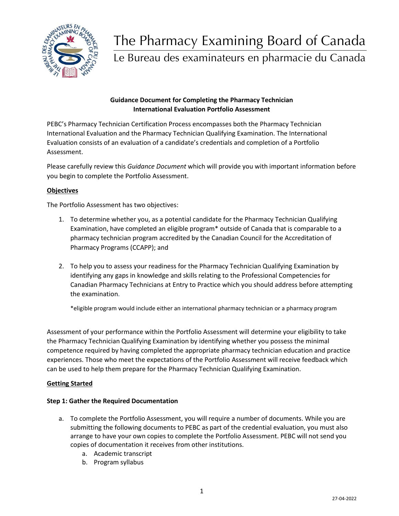

# The Pharmacy Examining Board of Canada

Le Bureau des examinateurs en pharmacie du Canada

# **Guidance Document for Completing the Pharmacy Technician International Evaluation Portfolio Assessment**

PEBC's Pharmacy Technician Certification Process encompasses both the Pharmacy Technician International Evaluation and the Pharmacy Technician Qualifying Examination. The International Evaluation consists of an evaluation of a candidate's credentials and completion of a Portfolio Assessment.

Please carefully review this *Guidance Document* which will provide you with important information before you begin to complete the Portfolio Assessment.

# **Objectives**

The Portfolio Assessment has two objectives:

- 1. To determine whether you, as a potential candidate for the Pharmacy Technician Qualifying Examination, have completed an eligible program\* outside of Canada that is comparable to a pharmacy technician program accredited by the Canadian Council for the Accreditation of Pharmacy Programs (CCAPP); and
- 2. To help you to assess your readiness for the Pharmacy Technician Qualifying Examination by identifying any gaps in knowledge and skills relating to the Professional Competencies for Canadian Pharmacy Technicians at Entry to Practice which you should address before attempting the examination.

\*eligible program would include either an international pharmacy technician or a pharmacy program

Assessment of your performance within the Portfolio Assessment will determine your eligibility to take the Pharmacy Technician Qualifying Examination by identifying whether you possess the minimal competence required by having completed the appropriate pharmacy technician education and practice experiences. Those who meet the expectations of the Portfolio Assessment will receive feedback which can be used to help them prepare for the Pharmacy Technician Qualifying Examination.

## **Getting Started**

## **Step 1: Gather the Required Documentation**

- a. To complete the Portfolio Assessment, you will require a number of documents. While you are submitting the following documents to PEBC as part of the credential evaluation, you must also arrange to have your own copies to complete the Portfolio Assessment. PEBC will not send you copies of documentation it receives from other institutions.
	- a. Academic transcript
	- b. Program syllabus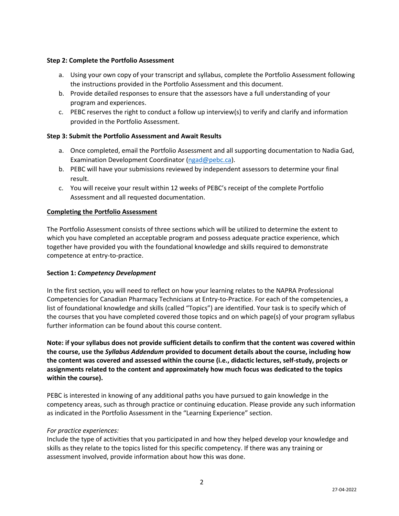### **Step 2: Complete the Portfolio Assessment**

- a. Using your own copy of your transcript and syllabus, complete the Portfolio Assessment following the instructions provided in the Portfolio Assessment and this document.
- b. Provide detailed responses to ensure that the assessors have a full understanding of your program and experiences.
- c. PEBC reserves the right to conduct a follow up interview(s) to verify and clarify and information provided in the Portfolio Assessment.

## **Step 3: Submit the Portfolio Assessment and Await Results**

- a. Once completed, email the Portfolio Assessment and all supporting documentation to Nadia Gad, Examination Development Coordinator [\(ngad@pebc.ca\)](mailto:ngad@pebc.ca).
- b. PEBC will have your submissions reviewed by independent assessors to determine your final result.
- c. You will receive your result within 12 weeks of PEBC's receipt of the complete Portfolio Assessment and all requested documentation.

## **Completing the Portfolio Assessment**

The Portfolio Assessment consists of three sections which will be utilized to determine the extent to which you have completed an acceptable program and possess adequate practice experience, which together have provided you with the foundational knowledge and skills required to demonstrate competence at entry-to-practice.

#### **Section 1:** *Competency Development*

In the first section, you will need to reflect on how your learning relates to the NAPRA Professional Competencies for Canadian Pharmacy Technicians at Entry-to-Practice. For each of the competencies, a list of foundational knowledge and skills (called "Topics") are identified. Your task is to specify which of the courses that you have completed covered those topics and on which page(s) of your program syllabus further information can be found about this course content.

**Note: if your syllabus does not provide sufficient details to confirm that the content was covered within the course, use the** *Syllabus Addendum* **provided to document details about the course, including how the content was covered and assessed within the course (i.e., didactic lectures, self-study, projects or assignments related to the content and approximately how much focus was dedicated to the topics within the course).**

PEBC is interested in knowing of any additional paths you have pursued to gain knowledge in the competency areas, such as through practice or continuing education. Please provide any such information as indicated in the Portfolio Assessment in the "Learning Experience" section.

#### *For practice experiences:*

Include the type of activities that you participated in and how they helped develop your knowledge and skills as they relate to the topics listed for this specific competency. If there was any training or assessment involved, provide information about how this was done.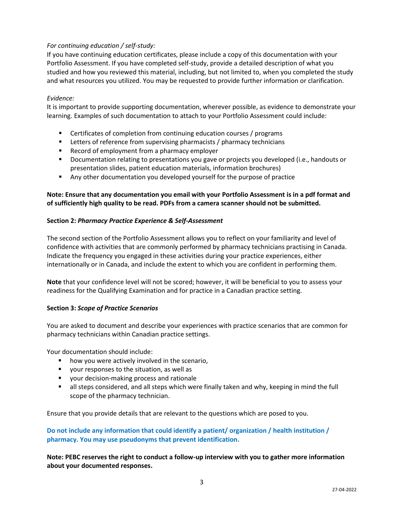## *For continuing education / self-study:*

If you have continuing education certificates, please include a copy of this documentation with your Portfolio Assessment. If you have completed self-study, provide a detailed description of what you studied and how you reviewed this material, including, but not limited to, when you completed the study and what resources you utilized. You may be requested to provide further information or clarification.

#### *Evidence:*

It is important to provide supporting documentation, wherever possible, as evidence to demonstrate your learning. Examples of such documentation to attach to your Portfolio Assessment could include:

- Certificates of completion from continuing education courses / programs
- **EXECTERE** Letters of reference from supervising pharmacists / pharmacy technicians
- Record of employment from a pharmacy employer
- Documentation relating to presentations you gave or projects you developed (i.e., handouts or presentation slides, patient education materials, information brochures)
- Any other documentation you developed yourself for the purpose of practice

## **Note: Ensure that any documentation you email with your Portfolio Assessment is in a pdf format and of sufficiently high quality to be read. PDFs from a camera scanner should not be submitted.**

#### **Section 2:** *Pharmacy Practice Experience & Self-Assessment*

The second section of the Portfolio Assessment allows you to reflect on your familiarity and level of confidence with activities that are commonly performed by pharmacy technicians practising in Canada. Indicate the frequency you engaged in these activities during your practice experiences, either internationally or in Canada, and include the extent to which you are confident in performing them.

**Note** that your confidence level will not be scored; however, it will be beneficial to you to assess your readiness for the Qualifying Examination and for practice in a Canadian practice setting.

#### **Section 3:** *Scope of Practice Scenarios*

You are asked to document and describe your experiences with practice scenarios that are common for pharmacy technicians within Canadian practice settings.

Your documentation should include:

- how you were actively involved in the scenario,
- your responses to the situation, as well as
- your decision-making process and rationale
- **E** all steps considered, and all steps which were finally taken and why, keeping in mind the full scope of the pharmacy technician.

Ensure that you provide details that are relevant to the questions which are posed to you.

## **Do not include any information that could identify a patient/ organization / health institution / pharmacy. You may use pseudonyms that prevent identification.**

**Note: PEBC reserves the right to conduct a follow-up interview with you to gather more information about your documented responses.**